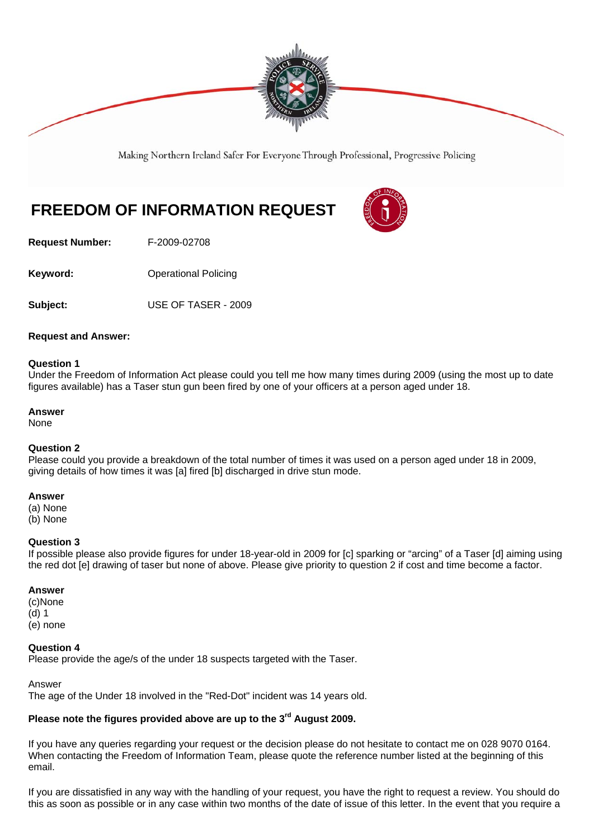

Making Northern Ireland Safer For Everyone Through Professional, Progressive Policing

# **FREEDOM OF INFORMATION REQUEST**



**Request Number:** F-2009-02708

**Keyword: C** Operational Policing

**Subject:** USE OF TASER - 2009

## **Request and Answer:**

#### **Question 1**

Under the Freedom of Information Act please could you tell me how many times during 2009 (using the most up to date figures available) has a Taser stun gun been fired by one of your officers at a person aged under 18.

#### **Answer**

None

# **Question 2**

Please could you provide a breakdown of the total number of times it was used on a person aged under 18 in 2009, giving details of how times it was [a] fired [b] discharged in drive stun mode.

## **Answer**

(a) None

(b) None

#### **Question 3**

If possible please also provide figures for under 18-year-old in 2009 for [c] sparking or "arcing" of a Taser [d] aiming using the red dot [e] drawing of taser but none of above. Please give priority to question 2 if cost and time become a factor.

#### **Answer**

(c)None

(d) 1

(e) none

#### **Question 4**

Please provide the age/s of the under 18 suspects targeted with the Taser.

#### Answer

The age of the Under 18 involved in the "Red-Dot" incident was 14 years old.

# **Please note the figures provided above are up to the 3rd August 2009.**

If you have any queries regarding your request or the decision please do not hesitate to contact me on 028 9070 0164. When contacting the Freedom of Information Team, please quote the reference number listed at the beginning of this email.

If you are dissatisfied in any way with the handling of your request, you have the right to request a review. You should do this as soon as possible or in any case within two months of the date of issue of this letter. In the event that you require a